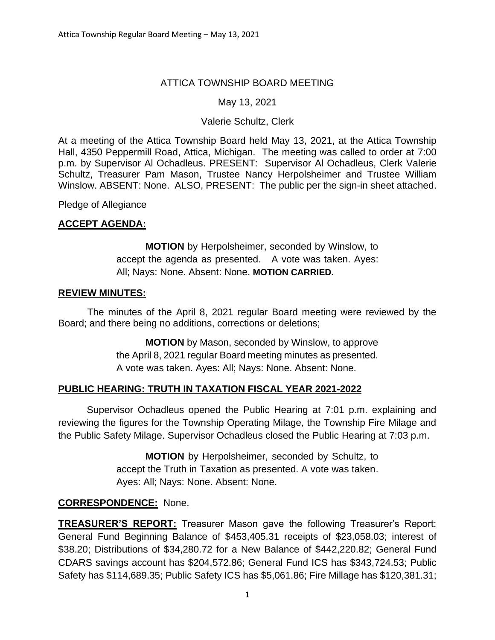#### ATTICA TOWNSHIP BOARD MEETING

#### May 13, 2021

#### Valerie Schultz, Clerk

At a meeting of the Attica Township Board held May 13, 2021, at the Attica Township Hall, 4350 Peppermill Road, Attica, Michigan. The meeting was called to order at 7:00 p.m. by Supervisor Al Ochadleus. PRESENT: Supervisor Al Ochadleus, Clerk Valerie Schultz, Treasurer Pam Mason, Trustee Nancy Herpolsheimer and Trustee William Winslow. ABSENT: None. ALSO, PRESENT: The public per the sign-in sheet attached.

Pledge of Allegiance

#### **ACCEPT AGENDA:**

**MOTION** by Herpolsheimer, seconded by Winslow, to accept the agenda as presented. A vote was taken. Ayes: All; Nays: None. Absent: None. **MOTION CARRIED.**

#### **REVIEW MINUTES:**

The minutes of the April 8, 2021 regular Board meeting were reviewed by the Board; and there being no additions, corrections or deletions;

> **MOTION** by Mason, seconded by Winslow, to approve the April 8, 2021 regular Board meeting minutes as presented. A vote was taken. Ayes: All; Nays: None. Absent: None.

#### **PUBLIC HEARING: TRUTH IN TAXATION FISCAL YEAR 2021-2022**

Supervisor Ochadleus opened the Public Hearing at 7:01 p.m. explaining and reviewing the figures for the Township Operating Milage, the Township Fire Milage and the Public Safety Milage. Supervisor Ochadleus closed the Public Hearing at 7:03 p.m.

> **MOTION** by Herpolsheimer, seconded by Schultz, to accept the Truth in Taxation as presented. A vote was taken. Ayes: All; Nays: None. Absent: None.

# **CORRESPONDENCE:** None.

**TREASURER'S REPORT:** Treasurer Mason gave the following Treasurer's Report: General Fund Beginning Balance of \$453,405.31 receipts of \$23,058.03; interest of \$38.20; Distributions of \$34,280.72 for a New Balance of \$442,220.82; General Fund CDARS savings account has \$204,572.86; General Fund ICS has \$343,724.53; Public Safety has \$114,689.35; Public Safety ICS has \$5,061.86; Fire Millage has \$120,381.31;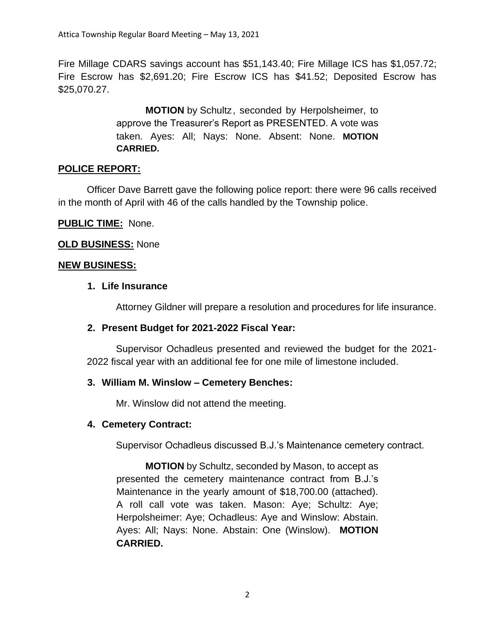Fire Millage CDARS savings account has \$51,143.40; Fire Millage ICS has \$1,057.72; Fire Escrow has \$2,691.20; Fire Escrow ICS has \$41.52; Deposited Escrow has \$25,070.27.

> **MOTION** by Schultz, seconded by Herpolsheimer, to approve the Treasurer's Report as PRESENTED. A vote was taken. Ayes: All; Nays: None. Absent: None. **MOTION CARRIED.**

# **POLICE REPORT:**

Officer Dave Barrett gave the following police report: there were 96 calls received in the month of April with 46 of the calls handled by the Township police.

# **PUBLIC TIME:** None.

# **OLD BUSINESS:** None

# **NEW BUSINESS:**

# **1. Life Insurance**

Attorney Gildner will prepare a resolution and procedures for life insurance.

# **2. Present Budget for 2021-2022 Fiscal Year:**

Supervisor Ochadleus presented and reviewed the budget for the 2021- 2022 fiscal year with an additional fee for one mile of limestone included.

# **3. William M. Winslow – Cemetery Benches:**

Mr. Winslow did not attend the meeting.

# **4. Cemetery Contract:**

Supervisor Ochadleus discussed B.J.'s Maintenance cemetery contract.

**MOTION** by Schultz, seconded by Mason, to accept as presented the cemetery maintenance contract from B.J.'s Maintenance in the yearly amount of \$18,700.00 (attached). A roll call vote was taken. Mason: Aye; Schultz: Aye; Herpolsheimer: Aye; Ochadleus: Aye and Winslow: Abstain. Ayes: All; Nays: None. Abstain: One (Winslow). **MOTION CARRIED.**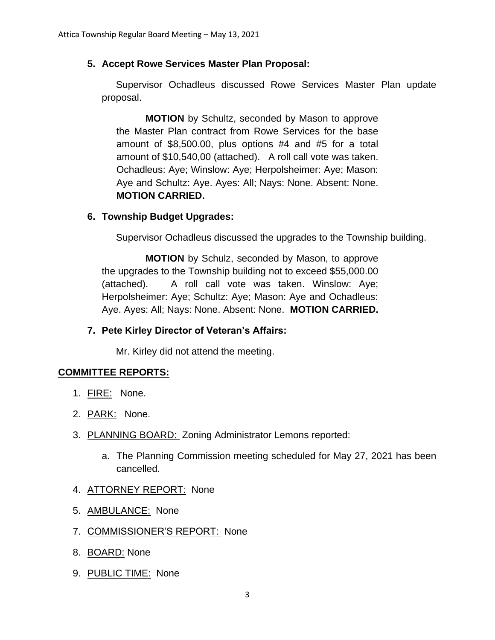#### **5. Accept Rowe Services Master Plan Proposal:**

Supervisor Ochadleus discussed Rowe Services Master Plan update proposal.

**MOTION** by Schultz, seconded by Mason to approve the Master Plan contract from Rowe Services for the base amount of \$8,500.00, plus options #4 and #5 for a total amount of \$10,540,00 (attached). A roll call vote was taken. Ochadleus: Aye; Winslow: Aye; Herpolsheimer: Aye; Mason: Aye and Schultz: Aye. Ayes: All; Nays: None. Absent: None. **MOTION CARRIED.**

#### **6. Township Budget Upgrades:**

Supervisor Ochadleus discussed the upgrades to the Township building.

**MOTION** by Schulz, seconded by Mason, to approve the upgrades to the Township building not to exceed \$55,000.00 (attached). A roll call vote was taken. Winslow: Aye; Herpolsheimer: Aye; Schultz: Aye; Mason: Aye and Ochadleus: Aye. Ayes: All; Nays: None. Absent: None. **MOTION CARRIED.**

# **7. Pete Kirley Director of Veteran's Affairs:**

Mr. Kirley did not attend the meeting.

#### **COMMITTEE REPORTS:**

- 1. FIRE: None.
- 2. PARK: None.
- 3. PLANNING BOARD: Zoning Administrator Lemons reported:
	- a. The Planning Commission meeting scheduled for May 27, 2021 has been cancelled.
- 4. ATTORNEY REPORT: None
- 5. AMBULANCE: None
- 7. COMMISSIONER'S REPORT: None
- 8. BOARD: None
- 9. PUBLIC TIME: None